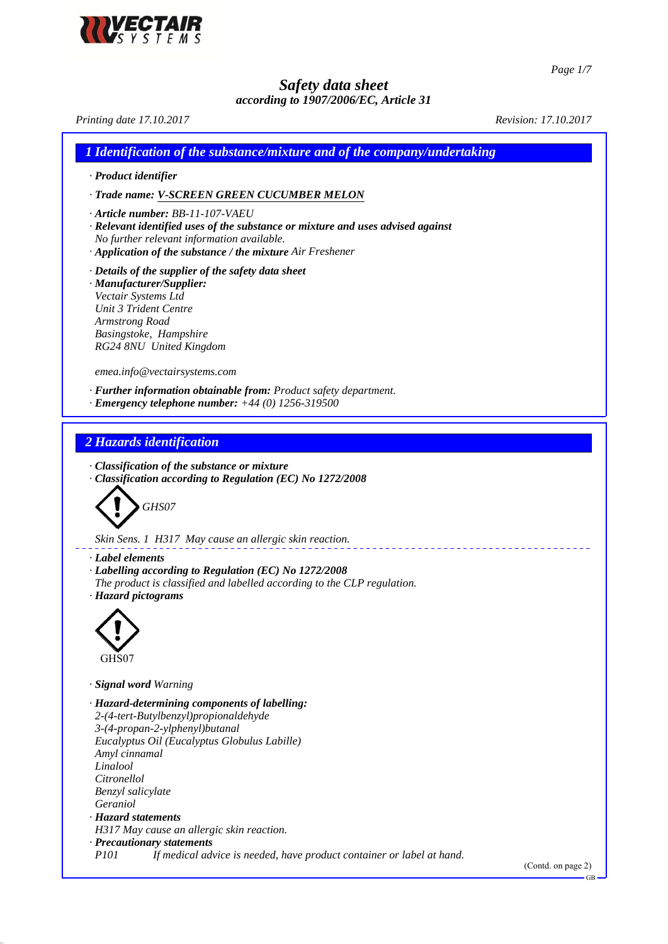

*Page 1/7*

GB

*Safety data sheet*

*according to 1907/2006/EC, Article 31 Printing date 17.10.2017 Revision: 17.10.2017 1 Identification of the substance/mixture and of the company/undertaking · Product identifier · Trade name: V-SCREEN GREEN CUCUMBER MELON · Article number: BB-11-107-VAEU · Relevant identified uses of the substance or mixture and uses advised against No further relevant information available. · Application of the substance / the mixture Air Freshener · Details of the supplier of the safety data sheet · Manufacturer/Supplier: Vectair Systems Ltd Unit 3 Trident Centre Armstrong Road Basingstoke, Hampshire RG24 8NU United Kingdom emea.info@vectairsystems.com · Further information obtainable from: Product safety department. · Emergency telephone number: +44 (0) 1256-319500 2 Hazards identification · Classification of the substance or mixture · Classification according to Regulation (EC) No 1272/2008 GHS07 Skin Sens. 1 H317 May cause an allergic skin reaction. · Label elements · Labelling according to Regulation (EC) No 1272/2008 The product is classified and labelled according to the CLP regulation. · Hazard pictograms* GHS07 *· Signal word Warning · Hazard-determining components of labelling: 2-(4-tert-Butylbenzyl)propionaldehyde 3-(4-propan-2-ylphenyl)butanal Eucalyptus Oil (Eucalyptus Globulus Labille) Amyl cinnamal Linalool Citronellol Benzyl salicylate Geraniol · Hazard statements H317 May cause an allergic skin reaction. · Precautionary statements P101 If medical advice is needed, have product container or label at hand.* (Contd. on page 2)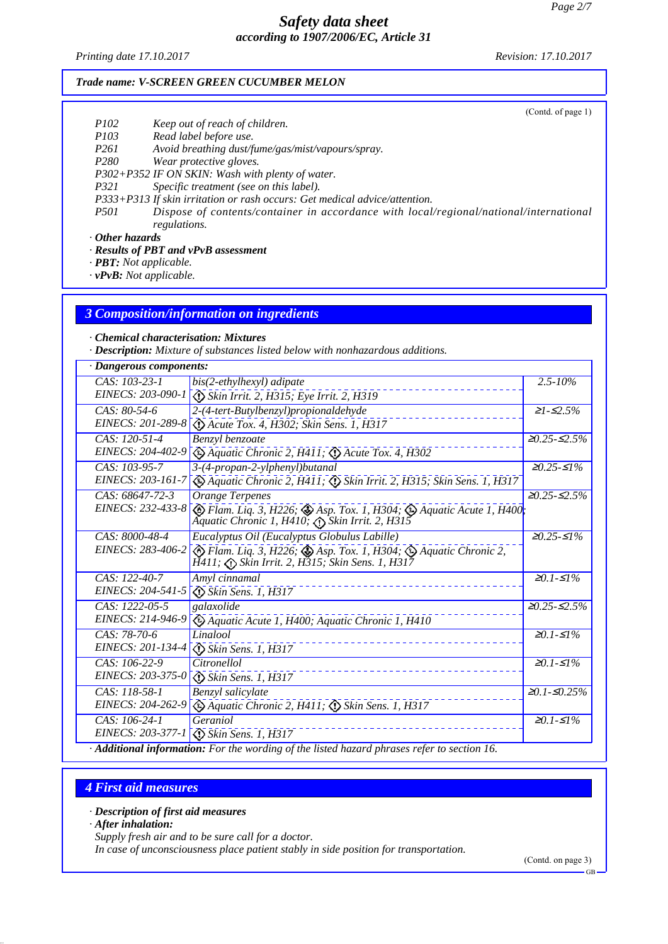*Printing date 17.10.2017 Revision: 17.10.2017*

(Contd. of page 1)

#### *Trade name: V-SCREEN GREEN CUCUMBER MELON*

| <i>P102</i> |  |  | Keep out of reach of children. |
|-------------|--|--|--------------------------------|

*P103 Read label before use.*

*P261 Avoid breathing dust/fume/gas/mist/vapours/spray.*

*P280 Wear protective gloves.*

*P302+P352 IF ON SKIN: Wash with plenty of water.*

*P321 Specific treatment (see on this label).*

*P333+P313 If skin irritation or rash occurs: Get medical advice/attention.*

*P501 Dispose of contents/container in accordance with local/regional/national/international regulations.*

*· Other hazards*

*· Results of PBT and vPvB assessment*

*· PBT: Not applicable.*

*· vPvB: Not applicable.*

#### *3 Composition/information on ingredients*

*· Chemical characterisation: Mixtures*

*· Description: Mixture of substances listed below with nonhazardous additions.*

| · Dangerous components: |                                                                                                                                                           |                                   |
|-------------------------|-----------------------------------------------------------------------------------------------------------------------------------------------------------|-----------------------------------|
| $CAS: 103-23-1$         | bis(2-ethylhexyl) adipate                                                                                                                                 | $2.5 - 10\%$                      |
| EINECS: 203-090-1       | Skin Irrit. 2, H315; Eye Irrit. 2, H319                                                                                                                   |                                   |
| CAS: 80-54-6            | 2-(4-tert-Butylbenzyl)propionaldehyde                                                                                                                     | $\geq1$ - $\leq2.5\%$             |
| EINECS: 201-289-8       | <b>D</b> Acute Tox. 4, H302; Skin Sens. 1, H317                                                                                                           |                                   |
| CAS: 120-51-4           | Benzyl benzoate                                                                                                                                           | $≥0.25-S2.5%$                     |
| EINECS: 204-402-9       | $\bigotimes$ Aquatic Chronic 2, H411; $\bigotimes$ Acute Tox. 4, H302                                                                                     |                                   |
| CAS: 103-95-7           | 3-(4-propan-2-ylphenyl)butanal                                                                                                                            | $\geq 0.25 - 51\%$                |
| EINECS: 203-161-7       | Aquatic Chronic 2, H411; $\circled{S}$ Skin Irrit. 2, H315; Skin Sens. 1, H317                                                                            |                                   |
| CAS: 68647-72-3         | <b>Orange Terpenes</b>                                                                                                                                    | $\geq 0.25 - 52.5\%$              |
| EINECS: 232-433-8       | $\circled{P}$ Flam. Liq. 3, H226; $\circled{P}$ Asp. Tox. 1, H304; $\circled{P}$ Aquatic Acute 1, H400;<br>Aquatic Chronic 1, H410; A Skin Irrit. 2, H315 |                                   |
| CAS: 8000-48-4          | Eucalyptus Oil (Eucalyptus Globulus Labille)                                                                                                              | $≥0.25-S1%$                       |
| EINECS: 283-406-2       | $\diamondsuit$ Flam. Liq. 3, H226; $\diamondsuit$ Asp. Tox. 1, H304; $\diamondsuit$ Aquatic Chronic 2,                                                    |                                   |
| $CAS: 122-40-7$         | Amyl cinnamal                                                                                                                                             | $≥0.1-S1%$                        |
| EINECS: 204-541-5       | Skin Sens. 1, H317                                                                                                                                        |                                   |
| CAS: 1222-05-5          | galaxolide                                                                                                                                                | $\geq 0.25 - 52.5\%$              |
| EINECS: 214-946-9       | Aquatic Acute 1, H400; Aquatic Chronic 1, H410                                                                                                            |                                   |
| CAS: 78-70-6            | Linalool                                                                                                                                                  | $\overline{\geq 0.1}$ - $\leq$ 1% |
| EINECS: 201-134-4       | $\circled{S}$ Skin Sens. 1, H317                                                                                                                          |                                   |
| CAS: 106-22-9           | Citronellol                                                                                                                                               | $≥0.1-S1%$                        |
| EINECS: 203-375-0       | Skin Sens. 1, H317                                                                                                                                        |                                   |
| $CAS: 118-58-1$         | Benzyl salicylate                                                                                                                                         | $≥0.1-S0.25%$                     |
| EINECS: 204-262-9       | $\bigotimes$ Aquatic Chronic 2, H411; $\bigotimes$ Skin Sens. 1, H317                                                                                     |                                   |
| $CAS: 106-24-1$         | Geraniol                                                                                                                                                  | $≥0.1-S1%$                        |
| EINECS: 203-377-1       | Skin Sens. 1, H317                                                                                                                                        |                                   |
|                         | Additional information: For the wording of the listed hazard phrases refer to section 16.                                                                 |                                   |

## *4 First aid measures*

*· Description of first aid measures*

*· After inhalation:*

*Supply fresh air and to be sure call for a doctor.*

*In case of unconsciousness place patient stably in side position for transportation.*

(Contd. on page 3)

GB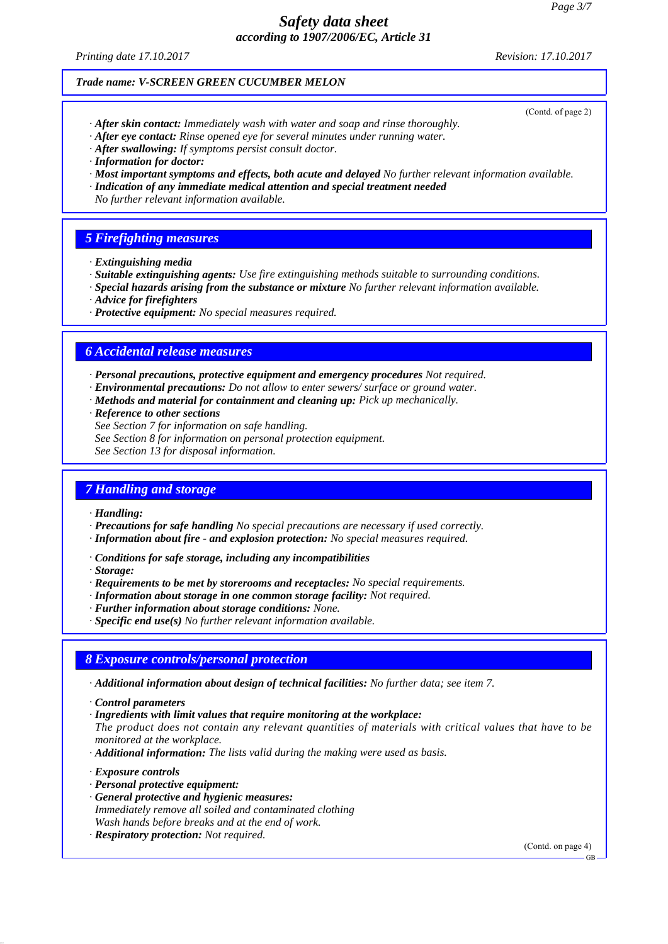*Printing date 17.10.2017 Revision: 17.10.2017*

(Contd. of page 2)

#### *Trade name: V-SCREEN GREEN CUCUMBER MELON*

- *· After skin contact: Immediately wash with water and soap and rinse thoroughly.*
- *· After eye contact: Rinse opened eye for several minutes under running water.*
- *· After swallowing: If symptoms persist consult doctor.*
- *· Information for doctor:*
- *· Most important symptoms and effects, both acute and delayed No further relevant information available.*
- *· Indication of any immediate medical attention and special treatment needed*
- *No further relevant information available.*

## *5 Firefighting measures*

- *· Extinguishing media*
- *· Suitable extinguishing agents: Use fire extinguishing methods suitable to surrounding conditions.*
- *· Special hazards arising from the substance or mixture No further relevant information available.*
- *· Advice for firefighters*
- *· Protective equipment: No special measures required.*

## *6 Accidental release measures*

- *· Personal precautions, protective equipment and emergency procedures Not required.*
- *· Environmental precautions: Do not allow to enter sewers/ surface or ground water.*
- *· Methods and material for containment and cleaning up: Pick up mechanically.*
- *· Reference to other sections*
- *See Section 7 for information on safe handling.*
- *See Section 8 for information on personal protection equipment.*

*See Section 13 for disposal information.*

## *7 Handling and storage*

- *· Handling:*
- *· Precautions for safe handling No special precautions are necessary if used correctly.*
- *· Information about fire and explosion protection: No special measures required.*
- *· Conditions for safe storage, including any incompatibilities*
- *· Storage:*
- *· Requirements to be met by storerooms and receptacles: No special requirements.*
- *· Information about storage in one common storage facility: Not required.*
- *· Further information about storage conditions: None.*
- *· Specific end use(s) No further relevant information available.*

## *8 Exposure controls/personal protection*

- *· Additional information about design of technical facilities: No further data; see item 7.*
- *· Control parameters*
- *· Ingredients with limit values that require monitoring at the workplace:*
- *The product does not contain any relevant quantities of materials with critical values that have to be monitored at the workplace.*
- *· Additional information: The lists valid during the making were used as basis.*

*· Exposure controls*

- *· Personal protective equipment:*
- *· General protective and hygienic measures: Immediately remove all soiled and contaminated clothing Wash hands before breaks and at the end of work.*
- *· Respiratory protection: Not required.*

(Contd. on page 4)

GB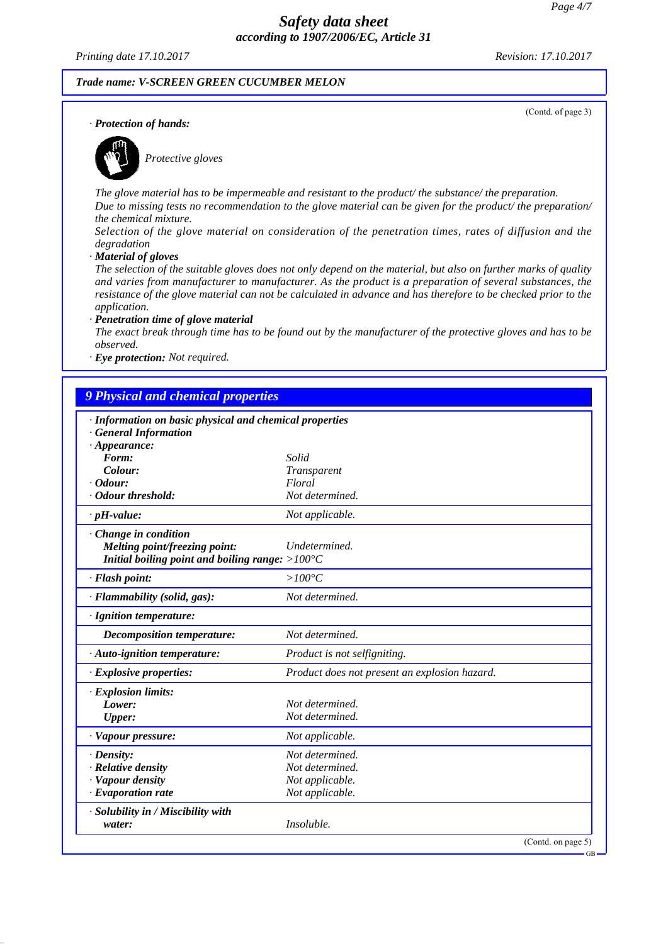*Printing date 17.10.2017 Revision: 17.10.2017*

(Contd. of page 3)

#### *Trade name: V-SCREEN GREEN CUCUMBER MELON*

*· Protection of hands:*



*Protective gloves*

*The glove material has to be impermeable and resistant to the product/ the substance/ the preparation. Due to missing tests no recommendation to the glove material can be given for the product/ the preparation/ the chemical mixture.*

*Selection of the glove material on consideration of the penetration times, rates of diffusion and the degradation*

*· Material of gloves*

*The selection of the suitable gloves does not only depend on the material, but also on further marks of quality and varies from manufacturer to manufacturer. As the product is a preparation of several substances, the resistance of the glove material can not be calculated in advance and has therefore to be checked prior to the application.*

*· Penetration time of glove material*

*The exact break through time has to be found out by the manufacturer of the protective gloves and has to be observed.*

*· Eye protection: Not required.*

| · Information on basic physical and chemical properties   |                                               |
|-----------------------------------------------------------|-----------------------------------------------|
| · General Information                                     |                                               |
| $\cdot$ Appearance:<br>Form:                              | Solid                                         |
| Colour:                                                   | Transparent                                   |
| $\cdot$ Odour:                                            | Floral                                        |
| · Odour threshold:                                        | Not determined.                               |
| $\cdot$ pH-value:                                         | Not applicable.                               |
| Change in condition                                       |                                               |
| Melting point/freezing point:                             | Undetermined.                                 |
| Initial boiling point and boiling range: $>100^{\circ}$ C |                                               |
| · Flash point:                                            | $>100^{\circ}C$                               |
| · Flammability (solid, gas):                              | Not determined.                               |
| · Ignition temperature:                                   |                                               |
| <b>Decomposition temperature:</b>                         | Not determined.                               |
| · Auto-ignition temperature:                              | Product is not selfigniting.                  |
| · Explosive properties:                                   | Product does not present an explosion hazard. |
| · Explosion limits:                                       |                                               |
| Lower:                                                    | Not determined.                               |
| <b>Upper:</b>                                             | Not determined.                               |
| · Vapour pressure:                                        | Not applicable.                               |
| $\cdot$ Density:                                          | Not determined.                               |
| · Relative density                                        | Not determined.                               |
| · Vapour density                                          | Not applicable.                               |
| $\cdot$ Evaporation rate                                  | Not applicable.                               |
| · Solubility in / Miscibility with                        |                                               |
| water:                                                    | Insoluble.                                    |

GB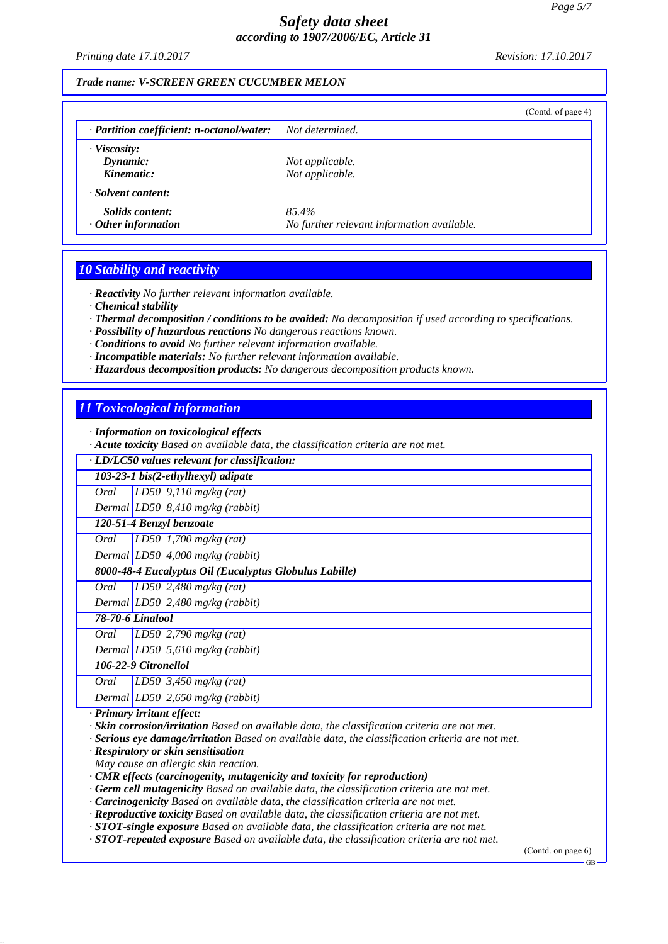*Printing date 17.10.2017 Revision: 17.10.2017*

#### *Trade name: V-SCREEN GREEN CUCUMBER MELON*

|                                                           |                                                     | (Cond. of page 4) |
|-----------------------------------------------------------|-----------------------------------------------------|-------------------|
| · Partition coefficient: n-octanol/water: Not determined. |                                                     |                   |
| $\cdot$ Viscosity:<br>Dynamic:<br>Kinematic:              | Not applicable.                                     |                   |
| · Solvent content:                                        | Not applicable.                                     |                   |
| Solids content:<br>$\cdot$ Other information              | 85.4%<br>No further relevant information available. |                   |

## *10 Stability and reactivity*

*· Reactivity No further relevant information available.*

*· Chemical stability*

*· Thermal decomposition / conditions to be avoided: No decomposition if used according to specifications.*

*· Possibility of hazardous reactions No dangerous reactions known.*

*· Conditions to avoid No further relevant information available.*

*· Incompatible materials: No further relevant information available.*

*· Hazardous decomposition products: No dangerous decomposition products known.*

## *11 Toxicological information*

*· Information on toxicological effects*

*· Acute toxicity Based on available data, the classification criteria are not met.*

*· LD/LC50 values relevant for classification:*

*103-23-1 bis(2-ethylhexyl) adipate*

*Oral LD50 9,110 mg/kg (rat)*

*Dermal LD50 8,410 mg/kg (rabbit)*

#### *120-51-4 Benzyl benzoate*

*Oral LD50 1,700 mg/kg (rat)*

*Dermal LD50 4,000 mg/kg (rabbit)*

*8000-48-4 Eucalyptus Oil (Eucalyptus Globulus Labille)*

*Oral LD50 2,480 mg/kg (rat)*

*Dermal LD50 2,480 mg/kg (rabbit)*

# *78-70-6 Linalool*

*Oral LD50 2,790 mg/kg (rat)*

*Dermal LD50 5,610 mg/kg (rabbit)*

*106-22-9 Citronellol*

*Oral LD50 3,450 mg/kg (rat)*

*Dermal LD50 2,650 mg/kg (rabbit)*

*· Primary irritant effect:*

*· Skin corrosion/irritation Based on available data, the classification criteria are not met.*

*· Serious eye damage/irritation Based on available data, the classification criteria are not met.*

*· Respiratory or skin sensitisation*

*May cause an allergic skin reaction.*

*· CMR effects (carcinogenity, mutagenicity and toxicity for reproduction)*

*· Germ cell mutagenicity Based on available data, the classification criteria are not met.*

*· Carcinogenicity Based on available data, the classification criteria are not met.*

*· Reproductive toxicity Based on available data, the classification criteria are not met.*

*· STOT-single exposure Based on available data, the classification criteria are not met.*

*· STOT-repeated exposure Based on available data, the classification criteria are not met.*

(Contd. on page 6)

GB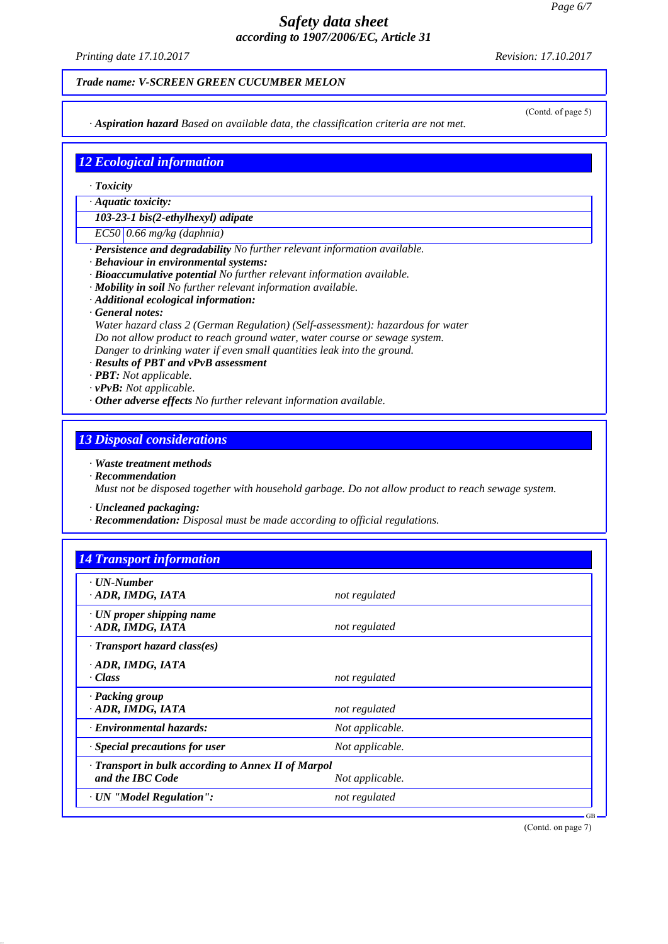*Printing date 17.10.2017 Revision: 17.10.2017*

#### *Trade name: V-SCREEN GREEN CUCUMBER MELON*

*· Aspiration hazard Based on available data, the classification criteria are not met.*

(Contd. of page 5)

# *12 Ecological information*

- *· Toxicity*
- *· Aquatic toxicity:*

*103-23-1 bis(2-ethylhexyl) adipate*

*EC50 0.66 mg/kg (daphnia)*

- *· Persistence and degradability No further relevant information available.*
- *· Behaviour in environmental systems:*
- *· Bioaccumulative potential No further relevant information available.*
- *· Mobility in soil No further relevant information available.*
- *· Additional ecological information:*
- *· General notes:*

*Water hazard class 2 (German Regulation) (Self-assessment): hazardous for water Do not allow product to reach ground water, water course or sewage system. Danger to drinking water if even small quantities leak into the ground.*

- *· Results of PBT and vPvB assessment*
- *· PBT: Not applicable.*
- *· vPvB: Not applicable.*
- *· Other adverse effects No further relevant information available.*

## *13 Disposal considerations*

#### *· Waste treatment methods*

- *· Recommendation Must not be disposed together with household garbage. Do not allow product to reach sewage system.*
- *· Uncleaned packaging:*
- *· Recommendation: Disposal must be made according to official regulations.*

| $\cdot$ UN-Number<br>· ADR, IMDG, IATA               | not regulated   |  |
|------------------------------------------------------|-----------------|--|
|                                                      |                 |  |
| $\cdot$ UN proper shipping name<br>· ADR, IMDG, IATA | not regulated   |  |
| $\cdot$ Transport hazard class(es)                   |                 |  |
| · ADR, IMDG, IATA                                    |                 |  |
| · Class                                              | not regulated   |  |
| · Packing group                                      |                 |  |
| · ADR, IMDG, IATA                                    | not regulated   |  |
| · Environmental hazards:                             | Not applicable. |  |
| · Special precautions for user                       | Not applicable. |  |
| · Transport in bulk according to Annex II of Marpol  |                 |  |
| and the IBC Code                                     | Not applicable. |  |

(Contd. on page 7)

GB